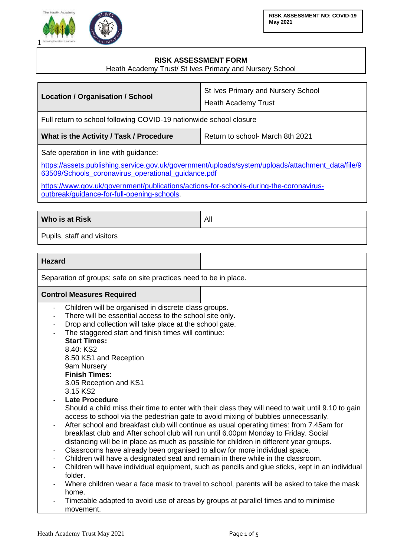



## **RISK ASSESSMENT FORM**

Heath Academy Trust/ St Ives Primary and Nursery School

| Location / Organisation / School                                                                                                                                                                 | St Ives Primary and Nursery School<br>Heath Academy Trust |  |
|--------------------------------------------------------------------------------------------------------------------------------------------------------------------------------------------------|-----------------------------------------------------------|--|
| Full return to school following COVID-19 nationwide school closure                                                                                                                               |                                                           |  |
| What is the Activity / Task / Procedure                                                                                                                                                          | Return to school- March 8th 2021                          |  |
| Safe operation in line with guidance:<br>https://assets.publishing.service.gov.uk/government/uploads/system/uploads/attachment_data/file/9<br>63509/Schools_coronavirus_operational_guidance.pdf |                                                           |  |
| https://www.gov.uk/government/publications/actions-for-schools-during-the-coronavirus-<br>outbreak/guidance-for-full-opening-schools.                                                            |                                                           |  |

**Who is at Risk** All **All** 

Pupils, staff and visitors

**Hazard**

Separation of groups; safe on site practices need to be in place.

## **Control Measures Required**

- Children will be organised in discrete class groups.
- There will be essential access to the school site only.
- Drop and collection will take place at the school gate.
- The staggered start and finish times will continue:

## **Start Times:** 8.40: KS2

8.50 KS1 and Reception 9am Nursery **Finish Times:** 3.05 Reception and KS1

3.15 KS2

Late Procedure

Should a child miss their time to enter with their class they will need to wait until 9.10 to gain access to school via the pedestrian gate to avoid mixing of bubbles unnecessarily.

- After school and breakfast club will continue as usual operating times: from 7.45am for breakfast club and After school club will run until 6.00pm Monday to Friday. Social distancing will be in place as much as possible for children in different year groups.
- Classrooms have already been organised to allow for more individual space.
- Children will have a designated seat and remain in there while in the classroom.
- Children will have individual equipment, such as pencils and glue sticks, kept in an individual folder.
- Where children wear a face mask to travel to school, parents will be asked to take the mask home.
- Timetable adapted to avoid use of areas by groups at parallel times and to minimise movement.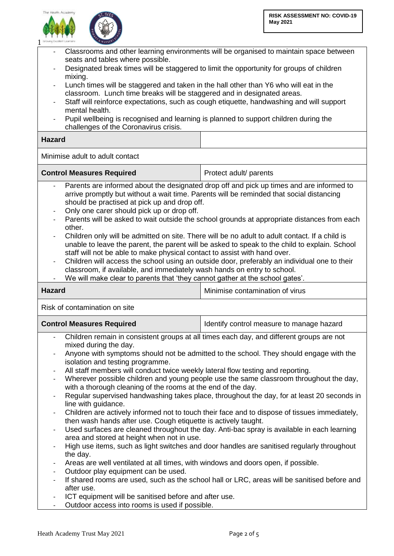



| Classrooms and other learning environments will be organised to maintain space between<br>seats and tables where possible.<br>Designated break times will be staggered to limit the opportunity for groups of children<br>mixing.<br>Lunch times will be staggered and taken in the hall other than Y6 who will eat in the<br>classroom. Lunch time breaks will be staggered and in designated areas.<br>Staff will reinforce expectations, such as cough etiquette, handwashing and will support<br>mental health.<br>Pupil wellbeing is recognised and learning is planned to support children during the<br>challenges of the Coronavirus crisis.<br><b>Hazard</b>                                                                                                                                                                                                                                                                                                                                                                                                                                                                                                                                                                                                                                                                                                                         |                                           |  |
|-----------------------------------------------------------------------------------------------------------------------------------------------------------------------------------------------------------------------------------------------------------------------------------------------------------------------------------------------------------------------------------------------------------------------------------------------------------------------------------------------------------------------------------------------------------------------------------------------------------------------------------------------------------------------------------------------------------------------------------------------------------------------------------------------------------------------------------------------------------------------------------------------------------------------------------------------------------------------------------------------------------------------------------------------------------------------------------------------------------------------------------------------------------------------------------------------------------------------------------------------------------------------------------------------------------------------------------------------------------------------------------------------|-------------------------------------------|--|
| Minimise adult to adult contact                                                                                                                                                                                                                                                                                                                                                                                                                                                                                                                                                                                                                                                                                                                                                                                                                                                                                                                                                                                                                                                                                                                                                                                                                                                                                                                                                               |                                           |  |
| <b>Control Measures Required</b>                                                                                                                                                                                                                                                                                                                                                                                                                                                                                                                                                                                                                                                                                                                                                                                                                                                                                                                                                                                                                                                                                                                                                                                                                                                                                                                                                              | Protect adult/ parents                    |  |
| Parents are informed about the designated drop off and pick up times and are informed to<br>arrive promptly but without a wait time. Parents will be reminded that social distancing<br>should be practised at pick up and drop off.<br>Only one carer should pick up or drop off.<br>$\frac{1}{2}$<br>Parents will be asked to wait outside the school grounds at appropriate distances from each<br>other.<br>Children only will be admitted on site. There will be no adult to adult contact. If a child is<br>unable to leave the parent, the parent will be asked to speak to the child to explain. School<br>staff will not be able to make physical contact to assist with hand over.<br>Children will access the school using an outside door, preferably an individual one to their<br>classroom, if available, and immediately wash hands on entry to school.<br>We will make clear to parents that 'they cannot gather at the school gates'.                                                                                                                                                                                                                                                                                                                                                                                                                                       |                                           |  |
| <b>Hazard</b>                                                                                                                                                                                                                                                                                                                                                                                                                                                                                                                                                                                                                                                                                                                                                                                                                                                                                                                                                                                                                                                                                                                                                                                                                                                                                                                                                                                 | Minimise contamination of virus           |  |
| Risk of contamination on site                                                                                                                                                                                                                                                                                                                                                                                                                                                                                                                                                                                                                                                                                                                                                                                                                                                                                                                                                                                                                                                                                                                                                                                                                                                                                                                                                                 |                                           |  |
| <b>Control Measures Required</b>                                                                                                                                                                                                                                                                                                                                                                                                                                                                                                                                                                                                                                                                                                                                                                                                                                                                                                                                                                                                                                                                                                                                                                                                                                                                                                                                                              | Identify control measure to manage hazard |  |
| Children remain in consistent groups at all times each day, and different groups are not<br>mixed during the day.<br>Anyone with symptoms should not be admitted to the school. They should engage with the<br>isolation and testing programme.<br>All staff members will conduct twice weekly lateral flow testing and reporting.<br>Wherever possible children and young people use the same classroom throughout the day,<br>with a thorough cleaning of the rooms at the end of the day.<br>Regular supervised handwashing takes place, throughout the day, for at least 20 seconds in<br>line with guidance.<br>Children are actively informed not to touch their face and to dispose of tissues immediately,<br>$\qquad \qquad \blacksquare$<br>then wash hands after use. Cough etiquette is actively taught.<br>Used surfaces are cleaned throughout the day. Anti-bac spray is available in each learning<br>$\frac{1}{2}$<br>area and stored at height when not in use.<br>High use items, such as light switches and door handles are sanitised regularly throughout<br>the day.<br>Areas are well ventilated at all times, with windows and doors open, if possible.<br>Outdoor play equipment can be used.<br>If shared rooms are used, such as the school hall or LRC, areas will be sanitised before and<br>after use.<br>ICT equipment will be sanifised before and after use |                                           |  |
|                                                                                                                                                                                                                                                                                                                                                                                                                                                                                                                                                                                                                                                                                                                                                                                                                                                                                                                                                                                                                                                                                                                                                                                                                                                                                                                                                                                               |                                           |  |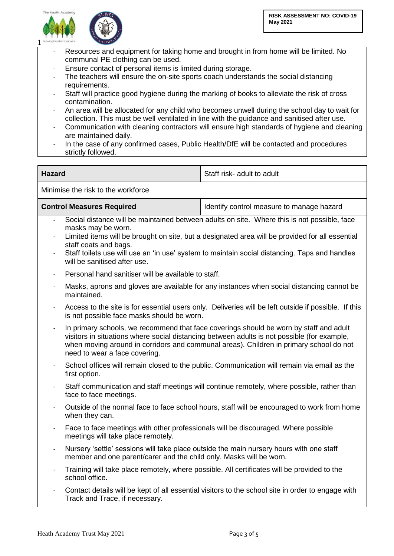



- Resources and equipment for taking home and brought in from home will be limited. No communal PE clothing can be used.
- Ensure contact of personal items is limited during storage.
- The teachers will ensure the on-site sports coach understands the social distancing requirements.
- Staff will practice good hygiene during the marking of books to alleviate the risk of cross contamination.
- An area will be allocated for any child who becomes unwell during the school day to wait for collection. This must be well ventilated in line with the guidance and sanitised after use.
- Communication with cleaning contractors will ensure high standards of hygiene and cleaning are maintained daily.
- In the case of any confirmed cases, Public Health/DfE will be contacted and procedures strictly followed.

| <b>Hazard</b>                              |                                                                                                                                                                                                                                                                                                                                                                                | Staff risk- adult to adult                                                                        |  |  |
|--------------------------------------------|--------------------------------------------------------------------------------------------------------------------------------------------------------------------------------------------------------------------------------------------------------------------------------------------------------------------------------------------------------------------------------|---------------------------------------------------------------------------------------------------|--|--|
| Minimise the risk to the workforce         |                                                                                                                                                                                                                                                                                                                                                                                |                                                                                                   |  |  |
| <b>Control Measures Required</b>           |                                                                                                                                                                                                                                                                                                                                                                                | Identify control measure to manage hazard                                                         |  |  |
| $\blacksquare$<br>$\overline{\phantom{0}}$ | Social distance will be maintained between adults on site. Where this is not possible, face<br>masks may be worn.<br>Limited items will be brought on site, but a designated area will be provided for all essential<br>staff coats and bags.<br>Staff toilets use will use an 'in use' system to maintain social distancing. Taps and handles<br>will be sanitised after use. |                                                                                                   |  |  |
| $\overline{\phantom{a}}$                   | Personal hand sanitiser will be available to staff.                                                                                                                                                                                                                                                                                                                            |                                                                                                   |  |  |
|                                            | Masks, aprons and gloves are available for any instances when social distancing cannot be<br>maintained.                                                                                                                                                                                                                                                                       |                                                                                                   |  |  |
| $\blacksquare$                             | Access to the site is for essential users only. Deliveries will be left outside if possible. If this<br>is not possible face masks should be worn.                                                                                                                                                                                                                             |                                                                                                   |  |  |
| $\frac{1}{2}$                              | In primary schools, we recommend that face coverings should be worn by staff and adult<br>visitors in situations where social distancing between adults is not possible (for example,<br>when moving around in corridors and communal areas). Children in primary school do not<br>need to wear a face covering.                                                               |                                                                                                   |  |  |
| $\overline{\phantom{0}}$                   | School offices will remain closed to the public. Communication will remain via email as the<br>first option.                                                                                                                                                                                                                                                                   |                                                                                                   |  |  |
| $\blacksquare$                             | Staff communication and staff meetings will continue remotely, where possible, rather than<br>face to face meetings.                                                                                                                                                                                                                                                           |                                                                                                   |  |  |
| $\overline{\phantom{0}}$                   | Outside of the normal face to face school hours, staff will be encouraged to work from home<br>when they can.                                                                                                                                                                                                                                                                  |                                                                                                   |  |  |
| $\blacksquare$                             | Face to face meetings with other professionals will be discouraged. Where possible<br>meetings will take place remotely.                                                                                                                                                                                                                                                       |                                                                                                   |  |  |
| $\overline{a}$                             | Nursery 'settle' sessions will take place outside the main nursery hours with one staff<br>member and one parent/carer and the child only. Masks will be worn.                                                                                                                                                                                                                 |                                                                                                   |  |  |
|                                            | Training will take place remotely, where possible. All certificates will be provided to the<br>school office.                                                                                                                                                                                                                                                                  |                                                                                                   |  |  |
|                                            | Track and Trace, if necessary.                                                                                                                                                                                                                                                                                                                                                 | Contact details will be kept of all essential visitors to the school site in order to engage with |  |  |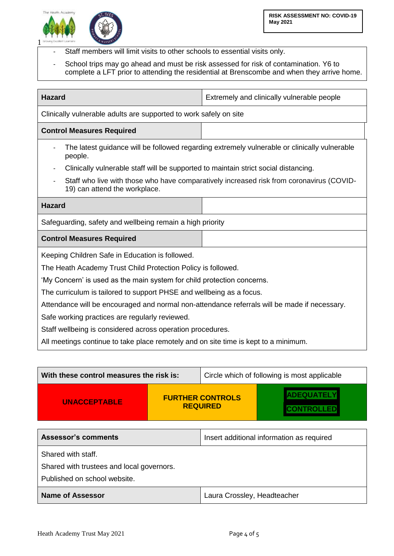



- Staff members will limit visits to other schools to essential visits only.
- School trips may go ahead and must be risk assessed for risk of contamination. Y6 to complete a LFT prior to attending the residential at Brenscombe and when they arrive home.

| <b>Hazard</b>                                                                                                             | Extremely and clinically vulnerable people                                                   |  |  |
|---------------------------------------------------------------------------------------------------------------------------|----------------------------------------------------------------------------------------------|--|--|
| Clinically vulnerable adults are supported to work safely on site                                                         |                                                                                              |  |  |
| <b>Control Measures Required</b>                                                                                          |                                                                                              |  |  |
| people.                                                                                                                   | The latest guidance will be followed regarding extremely vulnerable or clinically vulnerable |  |  |
| Clinically vulnerable staff will be supported to maintain strict social distancing.                                       |                                                                                              |  |  |
| Staff who live with those who have comparatively increased risk from coronavirus (COVID-<br>19) can attend the workplace. |                                                                                              |  |  |
| <b>Hazard</b>                                                                                                             |                                                                                              |  |  |
| Safeguarding, safety and wellbeing remain a high priority                                                                 |                                                                                              |  |  |
| <b>Control Measures Required</b>                                                                                          |                                                                                              |  |  |
| Keeping Children Safe in Education is followed.                                                                           |                                                                                              |  |  |
| The Heath Academy Trust Child Protection Policy is followed.                                                              |                                                                                              |  |  |
| 'My Concern' is used as the main system for child protection concerns.                                                    |                                                                                              |  |  |
| The curriculum is tailored to support PHSE and wellbeing as a focus.                                                      |                                                                                              |  |  |
| Attendance will be encouraged and normal non-attendance referrals will be made if necessary.                              |                                                                                              |  |  |
| Safe working practices are regularly reviewed.                                                                            |                                                                                              |  |  |
| Staff wellbeing is considered across operation procedures.                                                                |                                                                                              |  |  |
| All meetings continue to take place remotely and on site time is kept to a minimum.                                       |                                                                                              |  |  |

| With these control measures the risk is:                                                        |                                            | Circle which of following is most applicable |  |
|-------------------------------------------------------------------------------------------------|--------------------------------------------|----------------------------------------------|--|
| <b>UNACCEPTABLE</b>                                                                             | <b>FURTHER CONTROLS</b><br><b>REQUIRED</b> |                                              |  |
| <b>Assessor's comments</b>                                                                      |                                            | Insert additional information as required    |  |
| Shared with staff.<br>Shared with trustees and local governors.<br>Published on school website. |                                            |                                              |  |
| <b>Name of Assessor</b>                                                                         |                                            | Laura Crossley, Headteacher                  |  |